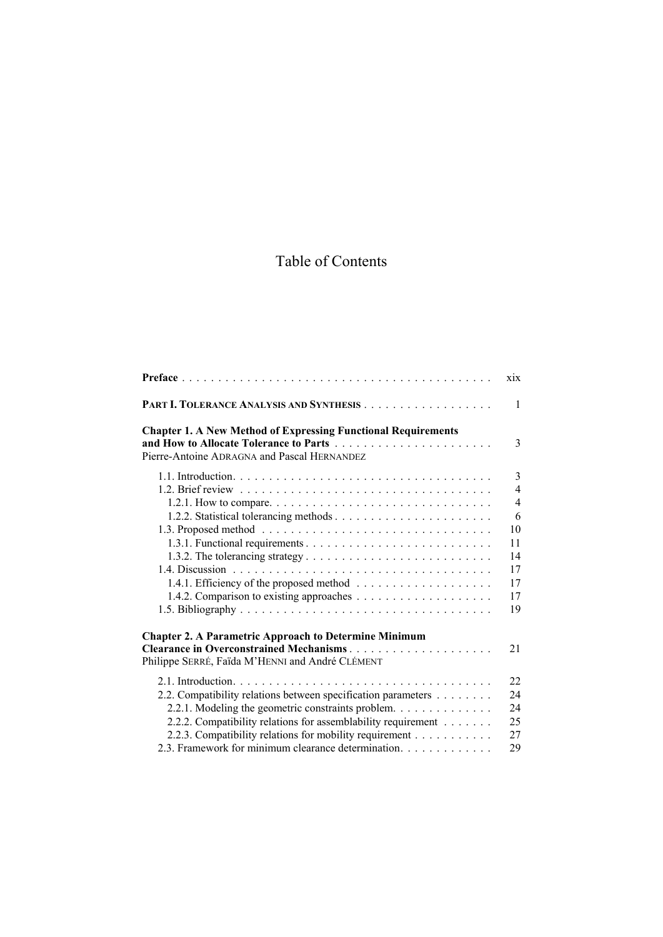# Table of Contents

|                                                                                                                                                                                                                                                                                                        | $x_{1}$                                                                 |
|--------------------------------------------------------------------------------------------------------------------------------------------------------------------------------------------------------------------------------------------------------------------------------------------------------|-------------------------------------------------------------------------|
|                                                                                                                                                                                                                                                                                                        | 1                                                                       |
| <b>Chapter 1. A New Method of Expressing Functional Requirements</b><br>Pierre-Antoine ADRAGNA and Pascal HERNANDEZ                                                                                                                                                                                    | 3                                                                       |
|                                                                                                                                                                                                                                                                                                        | 3<br>4<br>$\overline{4}$<br>6<br>10<br>11<br>14<br>17<br>17<br>17<br>19 |
| <b>Chapter 2. A Parametric Approach to Determine Minimum</b><br>Clearance in Overconstrained Mechanisms<br>Philippe SERRÉ, Faïda M'HENNI and André CLÉMENT                                                                                                                                             | 21                                                                      |
| 2.2. Compatibility relations between specification parameters<br>2.2.1. Modeling the geometric constraints problem.<br>2.2.2. Compatibility relations for assemblability requirement<br>2.2.3. Compatibility relations for mobility requirement<br>2.3. Framework for minimum clearance determination. | 22<br>24<br>24<br>25<br>27<br>29                                        |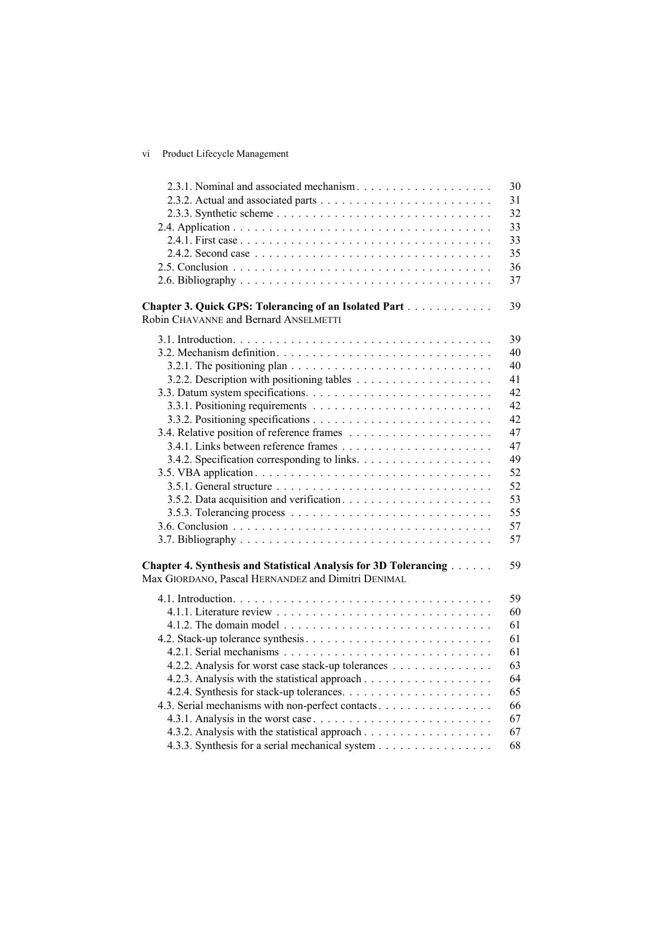## vi Product Lifecycle Management

| 2.3.1. Nominal and associated mechanism                          | 30 |
|------------------------------------------------------------------|----|
|                                                                  | 31 |
|                                                                  | 32 |
|                                                                  | 33 |
|                                                                  | 33 |
|                                                                  | 35 |
|                                                                  | 36 |
|                                                                  | 37 |
|                                                                  |    |
| Chapter 3. Quick GPS: Tolerancing of an Isolated Part            | 39 |
| Robin CHAVANNE and Bernard ANSELMETTI                            |    |
|                                                                  | 39 |
|                                                                  | 40 |
|                                                                  | 40 |
|                                                                  | 41 |
|                                                                  | 42 |
|                                                                  | 42 |
|                                                                  | 42 |
|                                                                  | 47 |
|                                                                  | 47 |
|                                                                  | 49 |
|                                                                  | 52 |
|                                                                  | 52 |
|                                                                  | 53 |
|                                                                  | 55 |
|                                                                  | 57 |
|                                                                  | 57 |
|                                                                  |    |
| Chapter 4. Synthesis and Statistical Analysis for 3D Tolerancing | 59 |
| Max GIORDANO, Pascal HERNANDEZ and Dimitri DENIMAL               |    |
|                                                                  |    |
|                                                                  | 59 |
|                                                                  | 60 |
|                                                                  | 61 |
|                                                                  | 61 |
|                                                                  | 61 |
| 4.2.2. Analysis for worst case stack-up tolerances               | 63 |
|                                                                  | 64 |
|                                                                  | 65 |
| 4.3. Serial mechanisms with non-perfect contacts                 | 66 |
|                                                                  | 67 |
|                                                                  | 67 |
| 4.3.3. Synthesis for a serial mechanical system                  | 68 |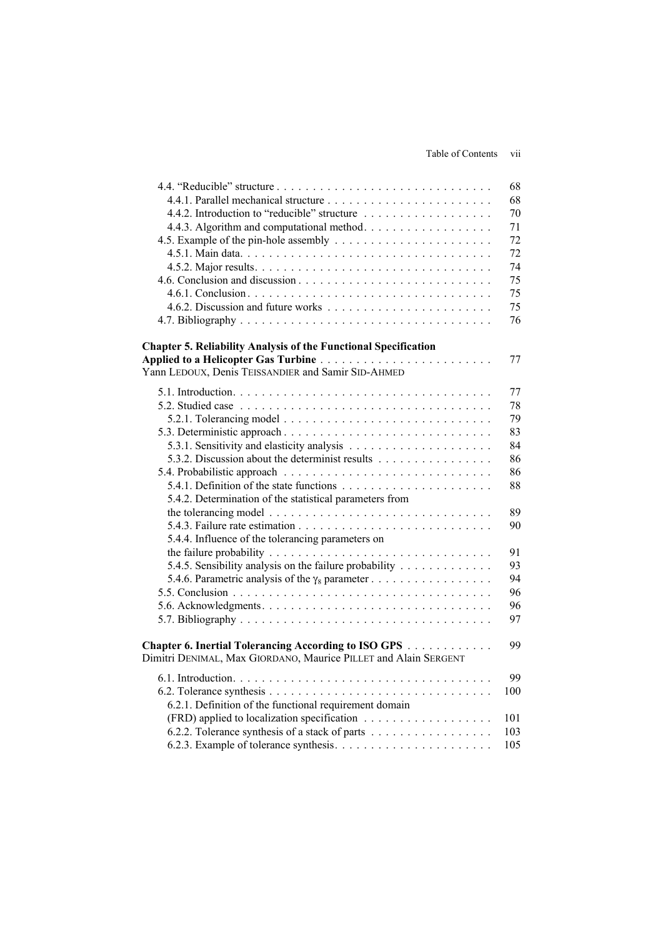#### Table of Contents vii

|                                                                                               | 68  |
|-----------------------------------------------------------------------------------------------|-----|
|                                                                                               | 68  |
|                                                                                               | 70  |
|                                                                                               | 71  |
|                                                                                               | 72  |
|                                                                                               | 72  |
|                                                                                               | 74  |
|                                                                                               | 75  |
|                                                                                               | 75  |
|                                                                                               | 75  |
|                                                                                               | 76  |
|                                                                                               |     |
| <b>Chapter 5. Reliability Analysis of the Functional Specification</b>                        |     |
|                                                                                               | 77  |
| Yann LEDOUX, Denis TEISSANDIER and Samir SID-AHMED                                            |     |
|                                                                                               | 77  |
|                                                                                               | 78  |
|                                                                                               | 79  |
|                                                                                               | 83  |
|                                                                                               | 84  |
| 5.3.2. Discussion about the determinist results                                               | 86  |
|                                                                                               | 86  |
|                                                                                               | 88  |
|                                                                                               |     |
| 5.4.2. Determination of the statistical parameters from                                       | 89  |
| the tolerancing model $\ldots \ldots \ldots \ldots \ldots \ldots \ldots \ldots \ldots \ldots$ |     |
|                                                                                               | 90  |
| 5.4.4. Influence of the tolerancing parameters on                                             |     |
|                                                                                               | 91  |
| 5.4.5. Sensibility analysis on the failure probability                                        | 93  |
|                                                                                               | 94  |
|                                                                                               | 96  |
|                                                                                               | 96  |
|                                                                                               | 97  |
| Chapter 6. Inertial Tolerancing According to ISO GPS                                          | 99  |
| Dimitri DENIMAL, Max GIORDANO, Maurice PILLET and Alain SERGENT                               |     |
|                                                                                               | 99  |
|                                                                                               | 100 |
|                                                                                               |     |
| 6.2.1. Definition of the functional requirement domain                                        |     |
|                                                                                               | 101 |
| 6.2.2. Tolerance synthesis of a stack of parts                                                | 103 |
|                                                                                               | 105 |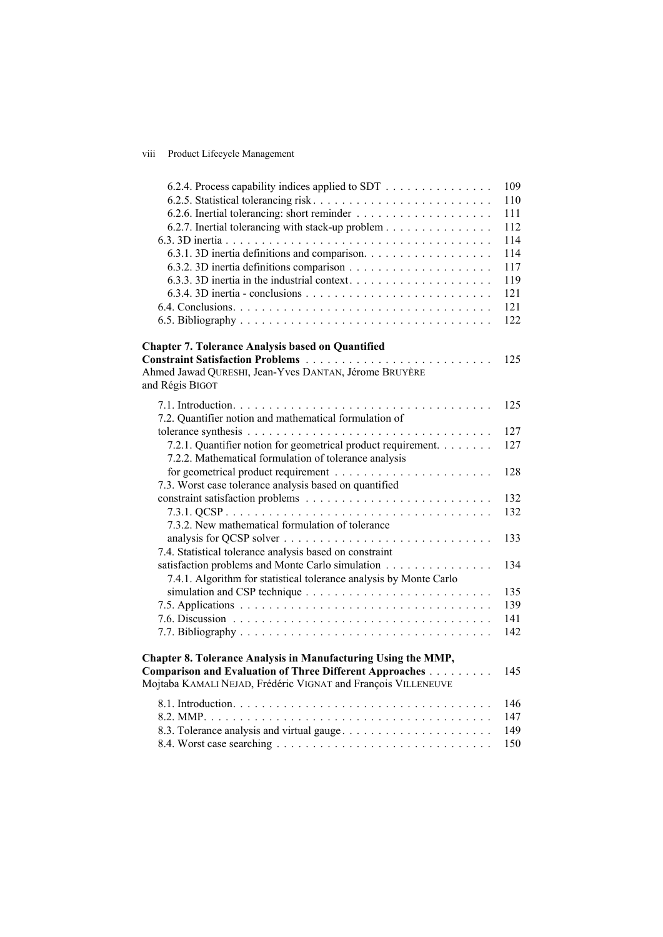### viii Product Lifecycle Management

| 6.2.4. Process capability indices applied to SDT                         | 109 |
|--------------------------------------------------------------------------|-----|
|                                                                          | 110 |
|                                                                          | 111 |
| 6.2.7. Inertial tolerancing with stack-up problem                        | 112 |
|                                                                          | 114 |
| 6.3.1. 3D inertia definitions and comparison.                            | 114 |
|                                                                          | 117 |
|                                                                          | 119 |
|                                                                          | 121 |
|                                                                          | 121 |
|                                                                          | 122 |
| <b>Chapter 7. Tolerance Analysis based on Quantified</b>                 |     |
|                                                                          | 125 |
| Ahmed Jawad QURESHI, Jean-Yves DANTAN, Jérome BRUYÈRE<br>and Régis BIGOT |     |
|                                                                          |     |
|                                                                          | 125 |
| 7.2. Quantifier notion and mathematical formulation of                   |     |
|                                                                          | 127 |
| 7.2.1. Quantifier notion for geometrical product requirement.            | 127 |
| 7.2.2. Mathematical formulation of tolerance analysis                    |     |
|                                                                          | 128 |
| 7.3. Worst case tolerance analysis based on quantified                   |     |
|                                                                          | 132 |
|                                                                          | 132 |
| 7.3.2. New mathematical formulation of tolerance                         |     |
|                                                                          | 133 |
| 7.4. Statistical tolerance analysis based on constraint                  |     |
| satisfaction problems and Monte Carlo simulation                         | 134 |
| 7.4.1. Algorithm for statistical tolerance analysis by Monte Carlo       |     |
|                                                                          | 135 |
|                                                                          | 139 |
|                                                                          | 141 |
|                                                                          | 142 |
|                                                                          |     |
| Chapter 8. Tolerance Analysis in Manufacturing Using the MMP,            |     |
| Comparison and Evaluation of Three Different Approaches                  | 145 |
| Mojtaba KAMALI NEJAD, Frédéric VIGNAT and François VILLENEUVE            |     |
|                                                                          | 146 |
|                                                                          | 147 |
| 8.3. Tolerance analysis and virtual gauge                                | 149 |
|                                                                          | 150 |
|                                                                          |     |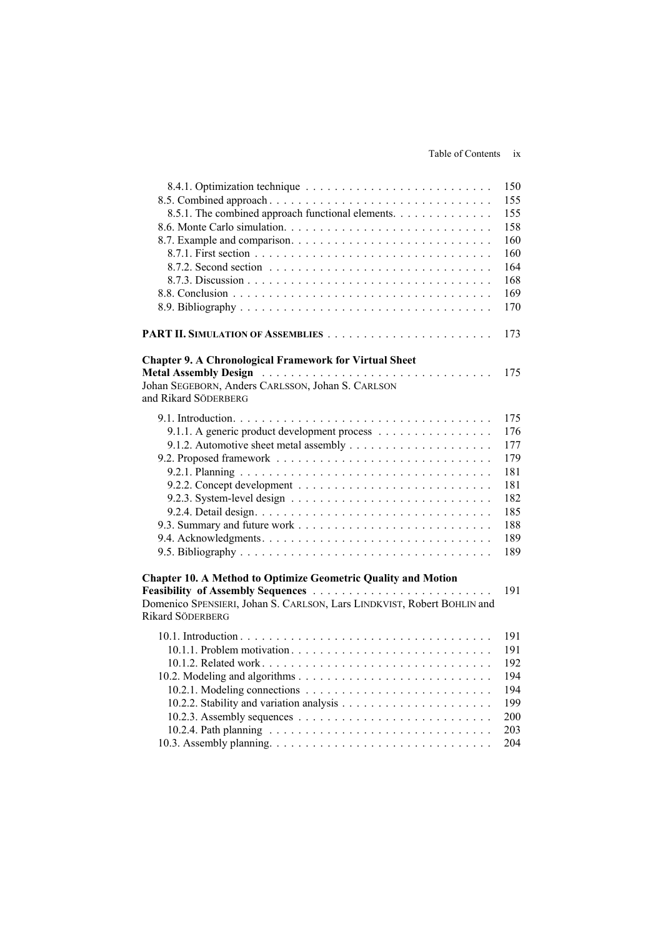#### Table of Contents ix

| 8.5.1. The combined approach functional elements.                                                                                                                                                                                                             | 150<br>155<br>155<br>158<br>160<br>160<br>164<br>168<br>169<br>170        |
|---------------------------------------------------------------------------------------------------------------------------------------------------------------------------------------------------------------------------------------------------------------|---------------------------------------------------------------------------|
|                                                                                                                                                                                                                                                               | 173                                                                       |
| <b>Chapter 9. A Chronological Framework for Virtual Sheet</b><br>Metal Assembly Design Active Active Active Active Active Active Active Active Active Active Active Active Activ<br>Johan SEGEBORN, Anders CARLSSON, Johan S. CARLSON<br>and Rikard SÖDERBERG | 175                                                                       |
| 9.1.1. A generic product development process                                                                                                                                                                                                                  | 175<br>176<br>177<br>179<br>181<br>181<br>182<br>185<br>188<br>189<br>189 |
| <b>Chapter 10. A Method to Optimize Geometric Quality and Motion</b><br>Domenico SPENSIERI, Johan S. CARLSON, Lars LINDKVIST, Robert BOHLIN and<br>Rikard SÖDERBERG                                                                                           | 191                                                                       |
|                                                                                                                                                                                                                                                               | 191<br>191<br>192<br>194<br>194<br>199<br>200<br>203<br>204               |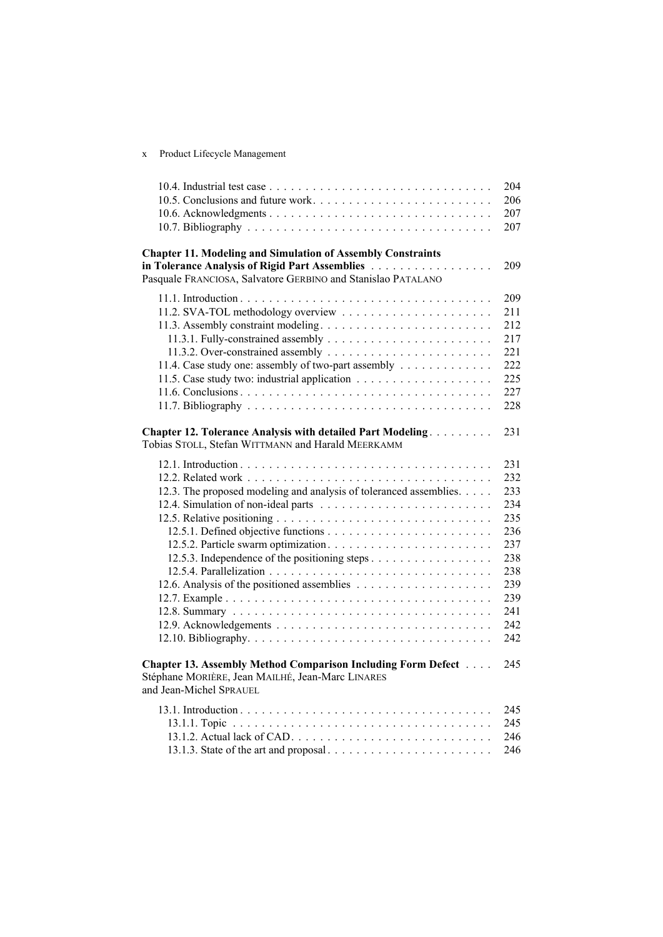x Product Lifecycle Management

|                                                                                                                | 204        |
|----------------------------------------------------------------------------------------------------------------|------------|
| 10.5. Conclusions and future work                                                                              | 206        |
|                                                                                                                | 207        |
|                                                                                                                | 207        |
| <b>Chapter 11. Modeling and Simulation of Assembly Constraints</b>                                             |            |
| in Tolerance Analysis of Rigid Part Assemblies<br>Pasquale FRANCIOSA, Salvatore GERBINO and Stanislao PATALANO | 209        |
|                                                                                                                | 209        |
|                                                                                                                | 211        |
|                                                                                                                | 212        |
|                                                                                                                | 217        |
|                                                                                                                | 221        |
| 11.4. Case study one: assembly of two-part assembly                                                            | 222        |
|                                                                                                                | 225        |
|                                                                                                                | 227        |
|                                                                                                                | 228        |
| Chapter 12. Tolerance Analysis with detailed Part Modeling.                                                    | 231        |
| Tobias STOLL, Stefan WITTMANN and Harald MEERKAMM                                                              |            |
|                                                                                                                | 231        |
|                                                                                                                | 232        |
| 12.3. The proposed modeling and analysis of toleranced assemblies.                                             | 233        |
|                                                                                                                | 234        |
|                                                                                                                | 235        |
|                                                                                                                | 236        |
|                                                                                                                | 237        |
| 12.5.3. Independence of the positioning steps                                                                  | 238        |
|                                                                                                                | 238        |
|                                                                                                                | 239        |
|                                                                                                                | 239        |
|                                                                                                                | 241        |
|                                                                                                                | 242        |
|                                                                                                                | 242        |
| Chapter 13. Assembly Method Comparison Including Form Defect                                                   | 245        |
| Stéphane MORIÈRE, Jean MAILHÉ, Jean-Marc LINARES<br>and Jean-Michel SPRAUEL                                    |            |
|                                                                                                                |            |
|                                                                                                                | 245        |
|                                                                                                                | 245        |
|                                                                                                                | 246<br>246 |
|                                                                                                                |            |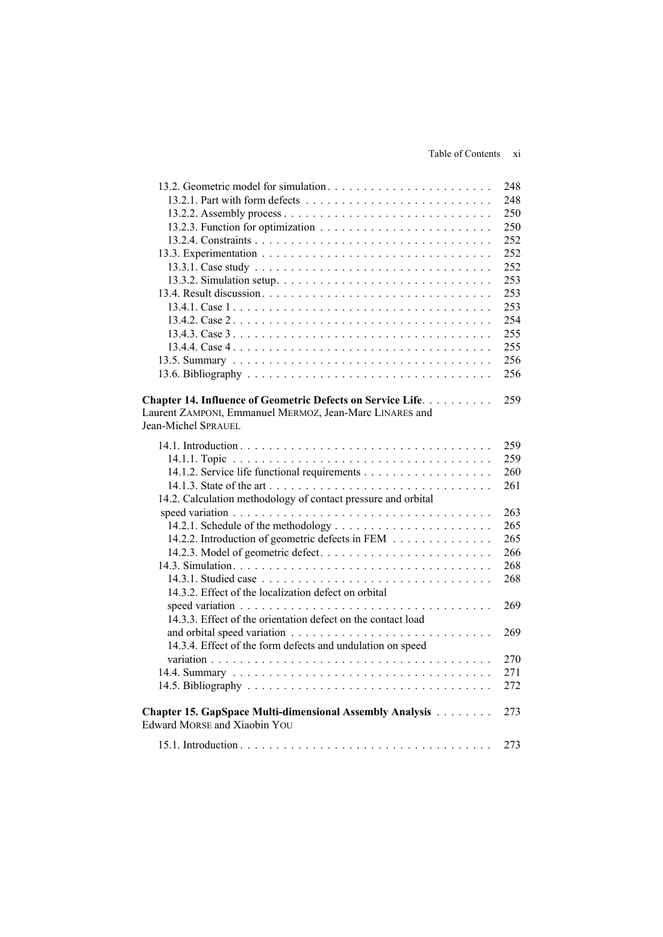| 13.2. Geometric model for simulation                                                                                                          | 248 |
|-----------------------------------------------------------------------------------------------------------------------------------------------|-----|
|                                                                                                                                               | 248 |
|                                                                                                                                               | 250 |
|                                                                                                                                               | 250 |
|                                                                                                                                               | 252 |
|                                                                                                                                               | 252 |
|                                                                                                                                               | 252 |
|                                                                                                                                               | 253 |
|                                                                                                                                               | 253 |
|                                                                                                                                               | 253 |
|                                                                                                                                               | 254 |
|                                                                                                                                               | 255 |
|                                                                                                                                               | 255 |
|                                                                                                                                               | 256 |
|                                                                                                                                               | 256 |
| Chapter 14. Influence of Geometric Defects on Service Life.<br>Laurent ZAMPONI, Emmanuel MERMOZ, Jean-Marc LINARES and<br>Jean-Michel SPRAUEL | 259 |
|                                                                                                                                               | 259 |
|                                                                                                                                               | 259 |
|                                                                                                                                               | 260 |
|                                                                                                                                               | 261 |
| 14.2. Calculation methodology of contact pressure and orbital                                                                                 |     |
|                                                                                                                                               | 263 |
|                                                                                                                                               | 265 |
| 14.2.2. Introduction of geometric defects in FEM                                                                                              | 265 |
|                                                                                                                                               | 266 |
|                                                                                                                                               | 268 |
|                                                                                                                                               | 268 |
| 14.3.2. Effect of the localization defect on orbital                                                                                          |     |
|                                                                                                                                               | 269 |
| 14.3.3. Effect of the orientation defect on the contact load                                                                                  |     |
|                                                                                                                                               | 269 |
| 14.3.4. Effect of the form defects and undulation on speed                                                                                    |     |
|                                                                                                                                               | 270 |
|                                                                                                                                               | 271 |
|                                                                                                                                               | 272 |
|                                                                                                                                               |     |
| Chapter 15. GapSpace Multi-dimensional Assembly Analysis<br><b>Edward MORSE and Xiaobin YOU</b>                                               | 273 |
|                                                                                                                                               | 273 |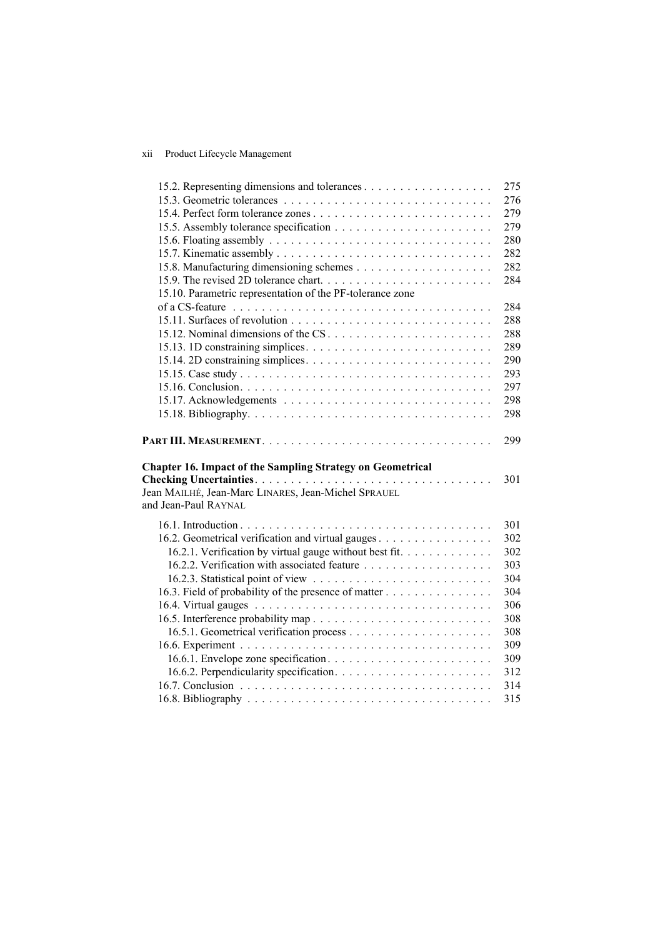#### xii Product Lifecycle Management

|                                                                                                                                                  | 275        |
|--------------------------------------------------------------------------------------------------------------------------------------------------|------------|
|                                                                                                                                                  | 276        |
|                                                                                                                                                  | 279        |
|                                                                                                                                                  | 279        |
|                                                                                                                                                  | 280        |
|                                                                                                                                                  | 282        |
|                                                                                                                                                  | 282        |
|                                                                                                                                                  | 284        |
| 15.10. Parametric representation of the PF-tolerance zone                                                                                        |            |
|                                                                                                                                                  | 284        |
|                                                                                                                                                  | 288        |
| 15.12. Nominal dimensions of the CS                                                                                                              | 288        |
|                                                                                                                                                  | 289        |
|                                                                                                                                                  | 290        |
|                                                                                                                                                  | 293        |
|                                                                                                                                                  | 297        |
|                                                                                                                                                  | 298        |
|                                                                                                                                                  | 298        |
|                                                                                                                                                  |            |
|                                                                                                                                                  | 299        |
| <b>Chapter 16. Impact of the Sampling Strategy on Geometrical</b><br>Jean MAILHÉ, Jean-Marc LINARES, Jean-Michel SPRAUEL<br>and Jean-Paul RAYNAL | 301        |
|                                                                                                                                                  |            |
|                                                                                                                                                  | 301        |
| 16.2. Geometrical verification and virtual gauges                                                                                                | 302        |
| 16.2.1. Verification by virtual gauge without best fit.                                                                                          | 302        |
|                                                                                                                                                  | 303        |
|                                                                                                                                                  | 304        |
| 16.3. Field of probability of the presence of matter                                                                                             | 304        |
|                                                                                                                                                  | 306        |
|                                                                                                                                                  | 308        |
|                                                                                                                                                  | 308        |
|                                                                                                                                                  | 309        |
|                                                                                                                                                  | 309        |
|                                                                                                                                                  | 312        |
|                                                                                                                                                  | 314<br>315 |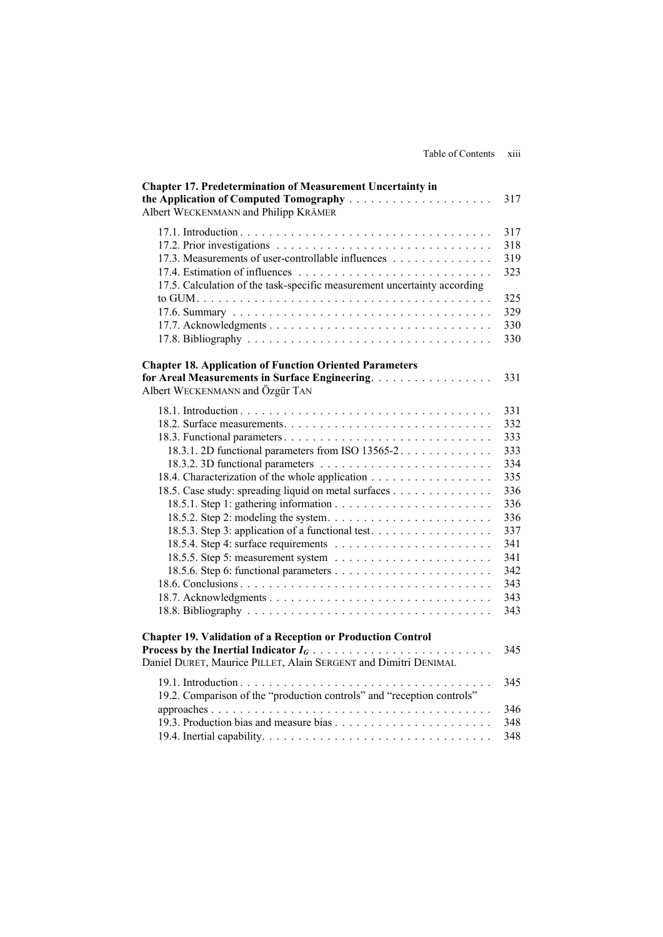| <b>Chapter 17. Predetermination of Measurement Uncertainty in</b><br>Albert WECKENMANN and Philipp KRÄMER                                                                                                          | 317                                                                                                          |
|--------------------------------------------------------------------------------------------------------------------------------------------------------------------------------------------------------------------|--------------------------------------------------------------------------------------------------------------|
| 17.3. Measurements of user-controllable influences<br>17.5. Calculation of the task-specific measurement uncertainty according                                                                                     | 317<br>318<br>319<br>323<br>325<br>329<br>330<br>330                                                         |
| <b>Chapter 18. Application of Function Oriented Parameters</b><br>for Areal Measurements in Surface Engineering.<br>Albert WECKENMANN and Özgür TAN                                                                | 331                                                                                                          |
| 18.3.1. 2D functional parameters from ISO 13565-2.<br>18.4. Characterization of the whole application<br>18.5. Case study: spreading liquid on metal surfaces<br>18.5.3. Step 3: application of a functional test. | 331<br>332<br>333<br>333<br>334<br>335<br>336<br>336<br>336<br>337<br>341<br>341<br>342<br>343<br>343<br>343 |
| <b>Chapter 19. Validation of a Reception or Production Control</b><br>Daniel DURET, Maurice PILLET, Alain SERGENT and Dimitri DENIMAL                                                                              | 345                                                                                                          |
| 19.2. Comparison of the "production controls" and "reception controls"                                                                                                                                             | 345<br>346<br>348<br>348                                                                                     |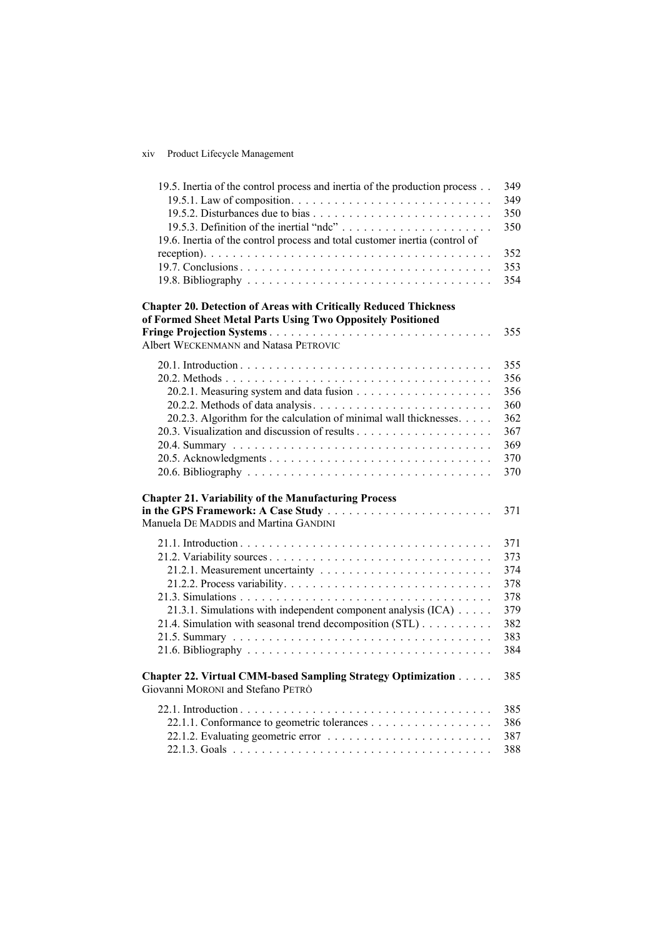### xiv Product Lifecycle Management

| 19.5. Inertia of the control process and inertia of the production process                                                             | 349 |
|----------------------------------------------------------------------------------------------------------------------------------------|-----|
|                                                                                                                                        | 349 |
|                                                                                                                                        | 350 |
|                                                                                                                                        | 350 |
| 19.6. Inertia of the control process and total customer inertia (control of                                                            |     |
|                                                                                                                                        | 352 |
|                                                                                                                                        | 353 |
|                                                                                                                                        | 354 |
| <b>Chapter 20. Detection of Areas with Critically Reduced Thickness</b><br>of Formed Sheet Metal Parts Using Two Oppositely Positioned |     |
|                                                                                                                                        | 355 |
| Albert WECKENMANN and Natasa PETROVIC                                                                                                  |     |
|                                                                                                                                        | 355 |
|                                                                                                                                        | 356 |
|                                                                                                                                        | 356 |
|                                                                                                                                        | 360 |
| 20.2.3. Algorithm for the calculation of minimal wall thicknesses.                                                                     | 362 |
|                                                                                                                                        | 367 |
|                                                                                                                                        | 369 |
|                                                                                                                                        | 370 |
|                                                                                                                                        | 370 |
| <b>Chapter 21. Variability of the Manufacturing Process</b>                                                                            |     |
| Manuela DE MADDIS and Martina GANDINI                                                                                                  | 371 |
|                                                                                                                                        |     |
|                                                                                                                                        | 371 |
|                                                                                                                                        | 373 |
|                                                                                                                                        | 374 |
|                                                                                                                                        | 378 |
|                                                                                                                                        | 378 |
| 21.3.1. Simulations with independent component analysis (ICA)                                                                          | 379 |
| 21.4. Simulation with seasonal trend decomposition (STL)                                                                               | 382 |
|                                                                                                                                        | 383 |
|                                                                                                                                        | 384 |
| Chapter 22. Virtual CMM-based Sampling Strategy Optimization<br>Giovanni MORONI and Stefano PETRÒ                                      | 385 |
|                                                                                                                                        | 385 |
| 22.1.1. Conformance to geometric tolerances                                                                                            | 386 |
|                                                                                                                                        | 387 |
|                                                                                                                                        | 388 |
|                                                                                                                                        |     |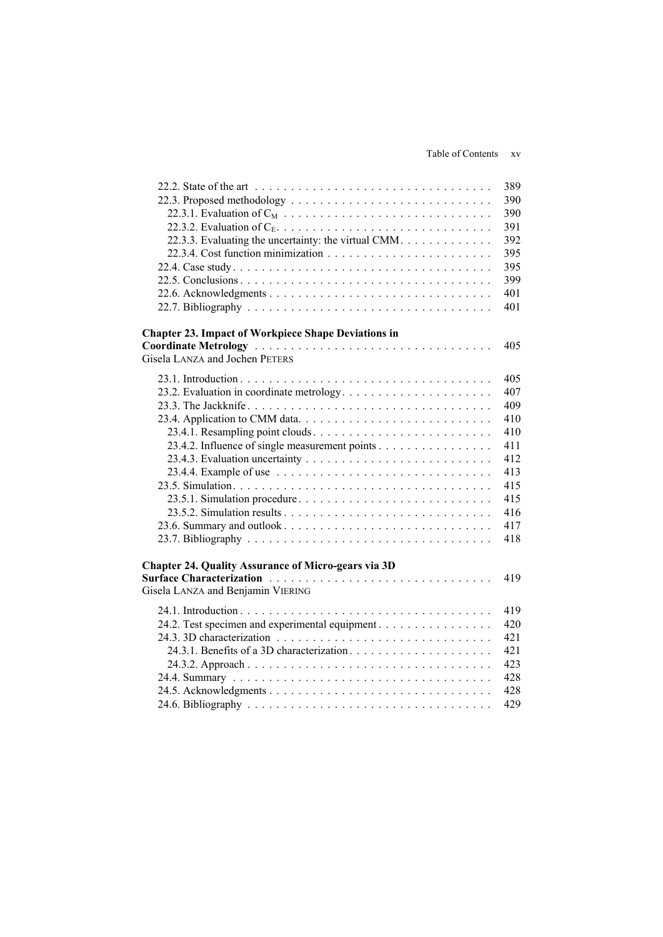#### Table of Contents xv

| 22.3.3. Evaluating the uncertainty: the virtual CMM.                                                                                                                      | 389<br>390<br>390<br>391<br>392<br>395<br>395<br>399<br>401<br>401                      |
|---------------------------------------------------------------------------------------------------------------------------------------------------------------------------|-----------------------------------------------------------------------------------------|
| <b>Chapter 23. Impact of Workpiece Shape Deviations in</b><br>Gisela LANZA and Jochen PETERS                                                                              | 405                                                                                     |
| 23.4.2. Influence of single measurement points<br>23.5.1. Simulation procedure<br>23.6. Summary and outlook<br><b>Chapter 24. Quality Assurance of Micro-gears via 3D</b> | 405<br>407<br>409<br>410<br>410<br>411<br>412<br>413<br>415<br>415<br>416<br>417<br>418 |
| Surface Characterization<br>Gisela LANZA and Benjamin VIERING                                                                                                             | 419                                                                                     |
| 24.2. Test specimen and experimental equipment.                                                                                                                           | 419<br>420<br>421<br>421<br>423<br>428<br>428<br>429                                    |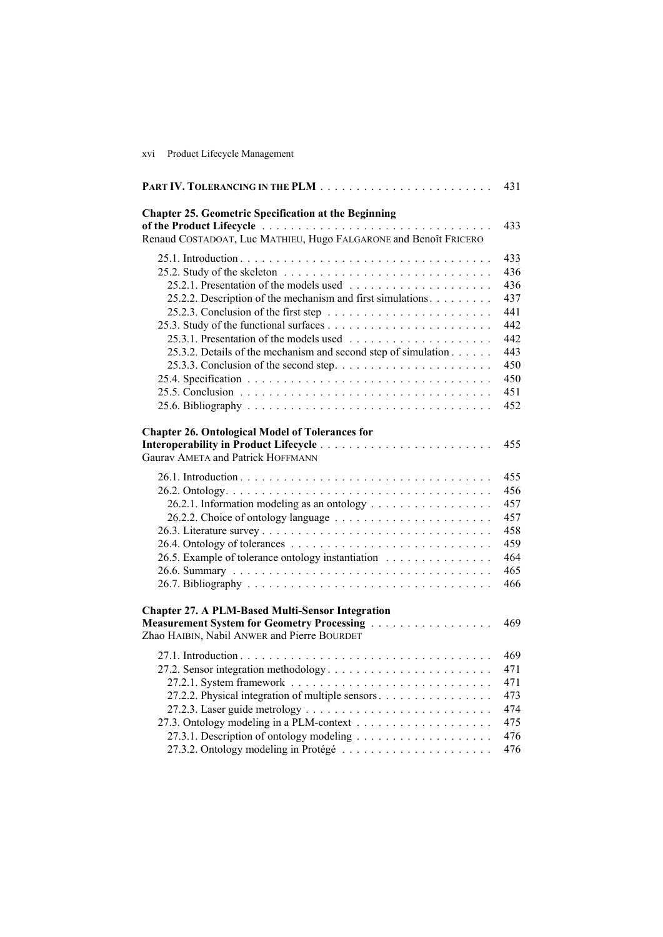#### xvi Product Lifecycle Management

|                                                                                                                                                      | 431 |
|------------------------------------------------------------------------------------------------------------------------------------------------------|-----|
| <b>Chapter 25. Geometric Specification at the Beginning</b>                                                                                          | 433 |
| Renaud COSTADOAT, Luc MATHIEU, Hugo FALGARONE and Benoît FRICERO                                                                                     |     |
|                                                                                                                                                      | 433 |
| 25.2. Study of the skeleton $\ldots \ldots \ldots \ldots \ldots \ldots \ldots \ldots$                                                                | 436 |
|                                                                                                                                                      | 436 |
| 25.2.2. Description of the mechanism and first simulations.                                                                                          | 437 |
|                                                                                                                                                      | 441 |
|                                                                                                                                                      | 442 |
|                                                                                                                                                      | 442 |
| 25.3.2. Details of the mechanism and second step of simulation                                                                                       | 443 |
|                                                                                                                                                      | 450 |
|                                                                                                                                                      | 450 |
|                                                                                                                                                      | 451 |
|                                                                                                                                                      | 452 |
| <b>Chapter 26. Ontological Model of Tolerances for</b><br><b>Gaurav AMETA and Patrick HOFFMANN</b>                                                   | 455 |
|                                                                                                                                                      | 455 |
|                                                                                                                                                      | 456 |
| 26.2.1. Information modeling as an ontology                                                                                                          | 457 |
|                                                                                                                                                      | 457 |
|                                                                                                                                                      | 458 |
|                                                                                                                                                      | 459 |
| 26.5. Example of tolerance ontology instantiation                                                                                                    | 464 |
|                                                                                                                                                      | 465 |
|                                                                                                                                                      | 466 |
| <b>Chapter 27. A PLM-Based Multi-Sensor Integration</b><br>Measurement System for Geometry Processing<br>Zhao HAIBIN, Nabil ANWER and Pierre BOURDET | 469 |
|                                                                                                                                                      | 469 |
| 27.2. Sensor integration methodology                                                                                                                 | 471 |
|                                                                                                                                                      | 471 |
| 27.2.2. Physical integration of multiple sensors                                                                                                     | 473 |
|                                                                                                                                                      | 474 |
|                                                                                                                                                      | 475 |
|                                                                                                                                                      | 476 |
|                                                                                                                                                      | 476 |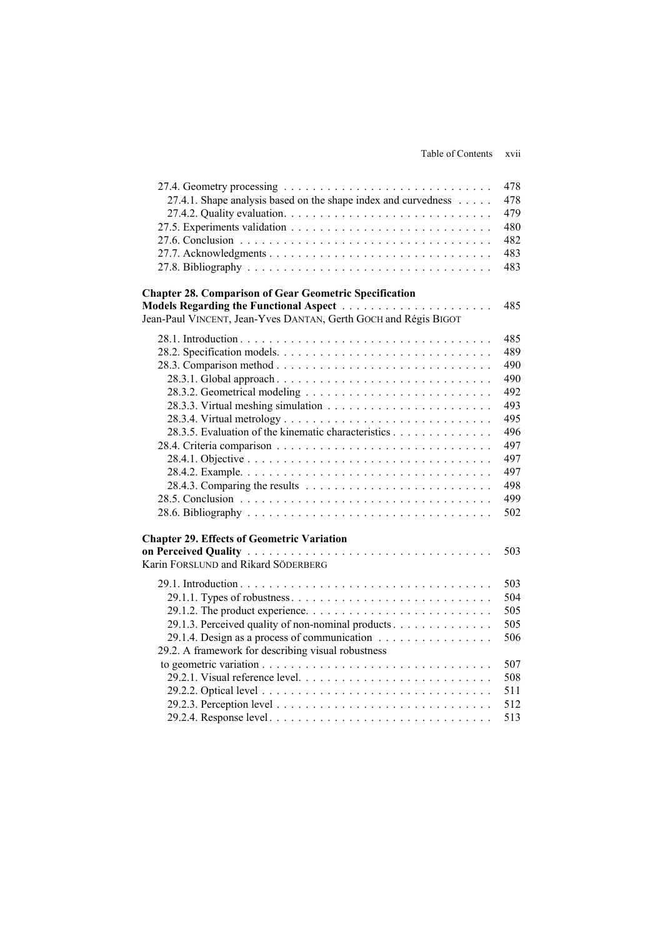|                                                                                                  | 478 |
|--------------------------------------------------------------------------------------------------|-----|
| 27.4.1. Shape analysis based on the shape index and curvedness                                   | 478 |
|                                                                                                  | 479 |
|                                                                                                  | 480 |
|                                                                                                  | 482 |
|                                                                                                  | 483 |
|                                                                                                  | 483 |
|                                                                                                  |     |
| <b>Chapter 28. Comparison of Gear Geometric Specification</b>                                    |     |
|                                                                                                  | 485 |
| Jean-Paul VINCENT, Jean-Yves DANTAN, Gerth GOCH and Régis BIGOT                                  |     |
|                                                                                                  | 485 |
|                                                                                                  | 489 |
|                                                                                                  |     |
|                                                                                                  | 490 |
|                                                                                                  | 490 |
|                                                                                                  | 492 |
|                                                                                                  | 493 |
|                                                                                                  | 495 |
| 28.3.5. Evaluation of the kinematic characteristics                                              | 496 |
|                                                                                                  | 497 |
|                                                                                                  | 497 |
|                                                                                                  | 497 |
|                                                                                                  | 498 |
|                                                                                                  | 499 |
|                                                                                                  | 502 |
|                                                                                                  |     |
| <b>Chapter 29. Effects of Geometric Variation</b>                                                |     |
|                                                                                                  | 503 |
| Karin FORSLUND and Rikard SÖDERBERG                                                              |     |
|                                                                                                  | 503 |
| 29.1.1. Types of robustness. $\dots \dots \dots \dots \dots \dots \dots \dots \dots \dots \dots$ | 504 |
|                                                                                                  | 505 |
| 29.1.3. Perceived quality of non-nominal products.                                               | 505 |
| 29.1.4. Design as a process of communication $\ldots \ldots \ldots \ldots \ldots$                | 506 |
| 29.2. A framework for describing visual robustness                                               |     |
|                                                                                                  | 507 |
|                                                                                                  | 508 |
|                                                                                                  | 511 |
|                                                                                                  | 512 |
|                                                                                                  | 513 |
|                                                                                                  |     |